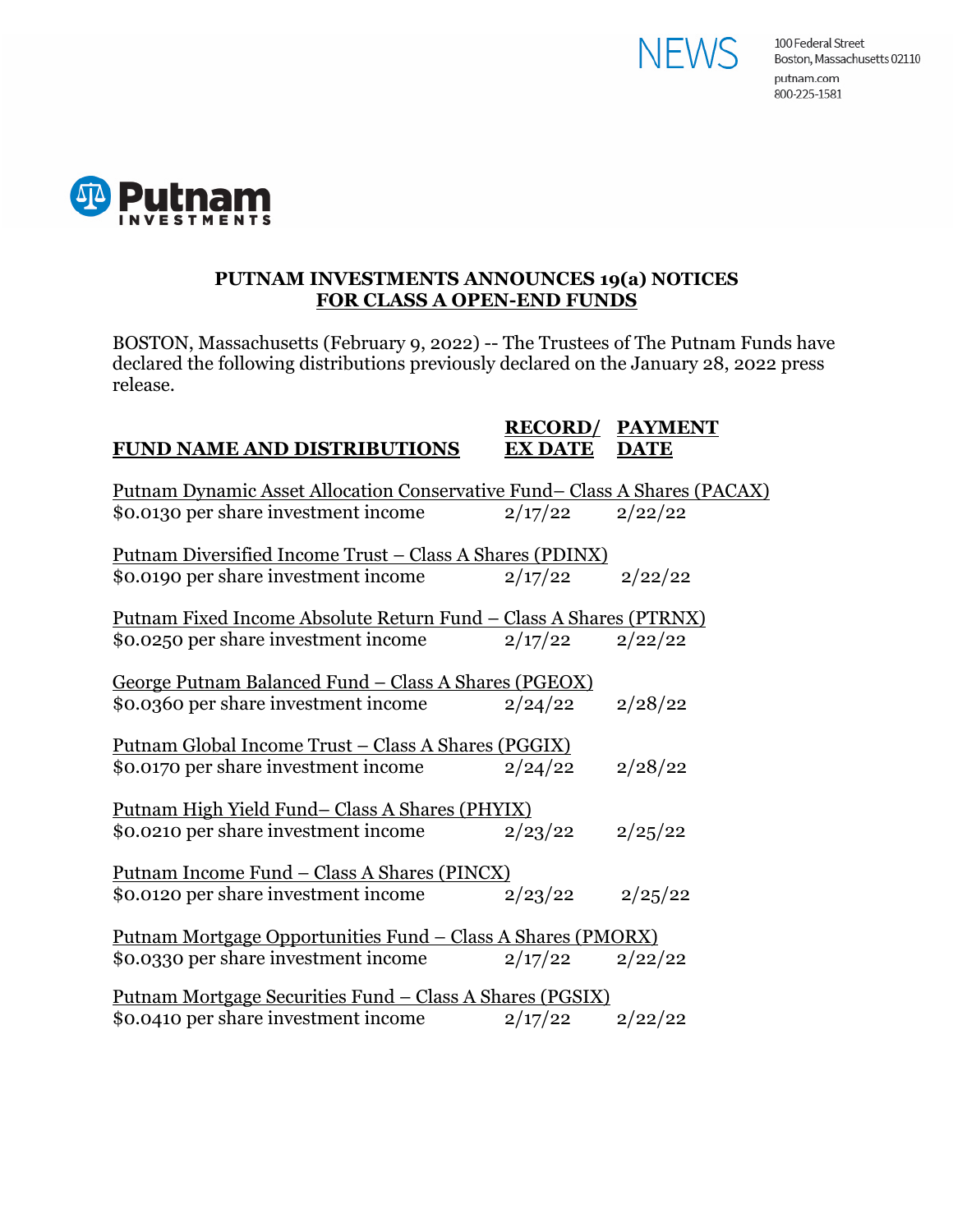



### **PUTNAM INVESTMENTS ANNOUNCES 19(a) NOTICES FOR CLASS A OPEN-END FUNDS**

BOSTON, Massachusetts (February 9, 2022) -- The Trustees of The Putnam Funds have declared the following distributions previously declared on the January 28, 2022 press release.

#### **RECORD/ PAYMENT FUND NAME AND DISTRIBUTIONS EX DATE DATE**

| <u> Putnam Dynamic Asset Allocation Conservative Fund– Class A Shares (PACAX)</u> |         |         |
|-----------------------------------------------------------------------------------|---------|---------|
| \$0.0130 per share investment income                                              | 2/17/22 | 2/22/22 |
|                                                                                   |         |         |
| <u> Putnam Diversified Income Trust – Class A Shares (PDINX)</u>                  |         |         |
| \$0.0190 per share investment income                                              | 2/17/22 | 2/22/22 |
|                                                                                   |         |         |
| <u> Putnam Fixed Income Absolute Return Fund – Class A Shares (PTRNX)</u>         |         |         |
| \$0.0250 per share investment income                                              | 2/17/22 | 2/22/22 |
|                                                                                   |         |         |
| George Putnam Balanced Fund - Class A Shares (PGEOX)                              |         |         |
| \$0.0360 per share investment income                                              | 2/24/22 | 2/28/22 |
|                                                                                   |         |         |
| <u> Putnam Global Income Trust – Class A Shares (PGGIX)</u>                       |         |         |
| \$0.0170 per share investment income                                              | 2/24/22 | 2/28/22 |
|                                                                                   |         |         |
| <u>Putnam High Yield Fund– Class A Shares (PHYIX)</u>                             |         |         |
| \$0.0210 per share investment income                                              | 2/23/22 | 2/25/22 |
|                                                                                   |         |         |
| <u> Putnam Income Fund – Class A Shares (PINCX)</u>                               |         |         |
| \$0.0120 per share investment income                                              | 2/23/22 | 2/25/22 |
|                                                                                   |         |         |
| <u> Putnam Mortgage Opportunities Fund – Class A Shares (PMORX)</u>               |         |         |
| \$0.0330 per share investment income                                              | 2/17/22 | 2/22/22 |
|                                                                                   |         |         |
| <u> Putnam Mortgage Securities Fund – Class A Shares (PGSIX)</u>                  |         |         |
| \$0.0410 per share investment income                                              | 2/17/22 | 2/22/22 |